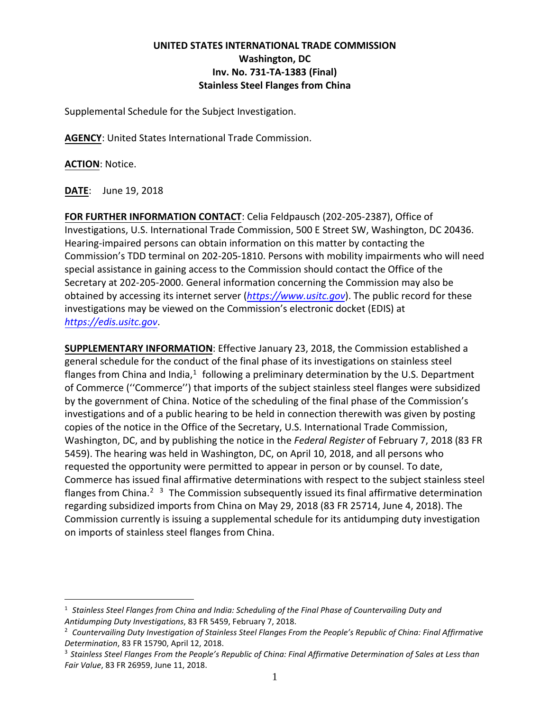## **UNITED STATES INTERNATIONAL TRADE COMMISSION Washington, DC Inv. No. 731-TA-1383 (Final) Stainless Steel Flanges from China**

Supplemental Schedule for the Subject Investigation.

**AGENCY**: United States International Trade Commission.

**ACTION**: Notice.

**DATE**: June 19, 2018

**FOR FURTHER INFORMATION CONTACT**: Celia Feldpausch (202-205-2387), Office of Investigations, U.S. International Trade Commission, 500 E Street SW, Washington, DC 20436. Hearing-impaired persons can obtain information on this matter by contacting the Commission's TDD terminal on 202-205-1810. Persons with mobility impairments who will need special assistance in gaining access to the Commission should contact the Office of the Secretary at 202-205-2000. General information concerning the Commission may also be obtained by accessing its internet server (*[https://www.usitc.gov](https://www.usitc.gov/)*). The public record for these investigations may be viewed on the Commission's electronic docket (EDIS) at *[https://edis.usitc.gov](https://edis.usitc.gov/)*.

**SUPPLEMENTARY INFORMATION**: Effective January 23, 2018, the Commission established a general schedule for the conduct of the final phase of its investigations on stainless steel flanges from China and India,<sup>[1](#page-0-0)</sup> following a preliminary determination by the U.S. Department of Commerce (''Commerce'') that imports of the subject stainless steel flanges were subsidized by the government of China. Notice of the scheduling of the final phase of the Commission's investigations and of a public hearing to be held in connection therewith was given by posting copies of the notice in the Office of the Secretary, U.S. International Trade Commission, Washington, DC, and by publishing the notice in the *Federal Register* of February 7, 2018 (83 FR 5459). The hearing was held in Washington, DC, on April 10, 2018, and all persons who requested the opportunity were permitted to appear in person or by counsel. To date, Commerce has issued final affirmative determinations with respect to the subject stainless steel flanges from China.<sup>[2](#page-0-1)</sup>  $3$  The Commission subsequently issued its final affirmative determination regarding subsidized imports from China on May 29, 2018 (83 FR 25714, June 4, 2018). The Commission currently is issuing a supplemental schedule for its antidumping duty investigation on imports of stainless steel flanges from China.

<span id="page-0-0"></span><sup>1</sup> *Stainless Steel Flanges from China and India: Scheduling of the Final Phase of Countervailing Duty and Antidumping Duty Investigations*, 83 FR 5459, February 7, 2018. 2 *Countervailing Duty Investigation of Stainless Steel Flanges From the People's Republic of China: Final Affirmative* 

<span id="page-0-1"></span>*Determination, 83 FR 15790, April 12, 2018.*<br><sup>3</sup> Stainless Steel Flanges From the People's Republic of China: Final Affirmative Determination of Sales at Less than

<span id="page-0-2"></span>*Fair Value*, 83 FR 26959, June 11, 2018.